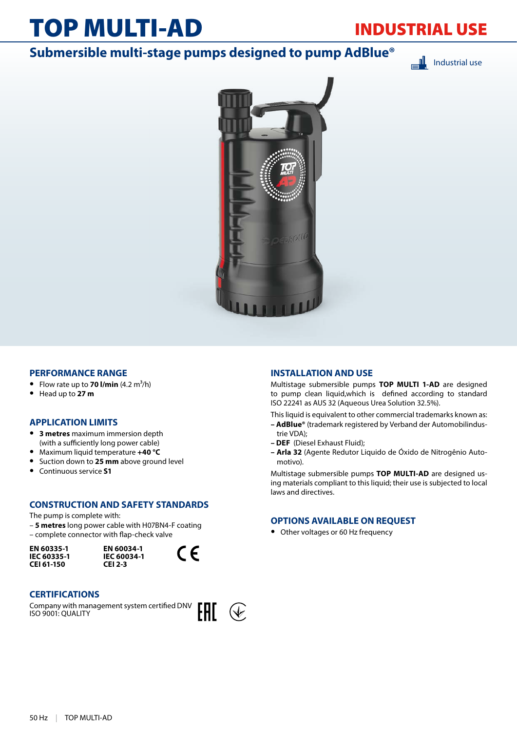# TOP MULTI-AD

## INDUSTRIAL USE

### **Submersible multi-stage pumps designed to pump AdBlue®**

Industrial use



### **PERFORMANCE RANGE**

- Flow rate up to **70 l/min**  $(4.2 \text{ m}^3/\text{h})$
- **•** Head up to **27 m**

### **APPLICATION LIMITS**

- **• 3 metres** maximum immersion depth (with a sufficiently long power cable)
- **•** Maximum liquid temperature **+40 °C**
- **•** Suction down to **25 mm** above ground level
- **•** Continuous service **S1**

### **CONSTRUCTION AND SAFETY STANDARDS**

The pump is complete with:

– **5 metres** long power cable with H07BN4-F coating – complete connector with flap-check valve

**EN 60335-1 IEC 60335-1 CEI 61-150**





### **CERTIFICATIONS**

Company with management system certified DNV ISO 9001: QUALITY



### **INSTALLATION AND USE**

Multistage submersible pumps **TOP MULTI 1-AD** are designed to pump clean liquid,which is defined according to standard ISO 22241 as AUS 32 (Aqueous Urea Solution 32.5%).

This liquid is equivalent to other commercial trademarks known as:

- **AdBlue®** (trademark registered by Verband der Automobilindustrie VDA);
- **DEF** (Diesel Exhaust Fluid);
- **Arla 32** (Agente Redutor Liquido de Óxido de Nitrogênio Automotivo).

Multistage submersible pumps **TOP MULTI-AD** are designed using materials compliant to this liquid; their use is subjected to local laws and directives.

### **OPTIONS AVAILABLE ON REQUEST**

**•** Other voltages or 60 Hz frequency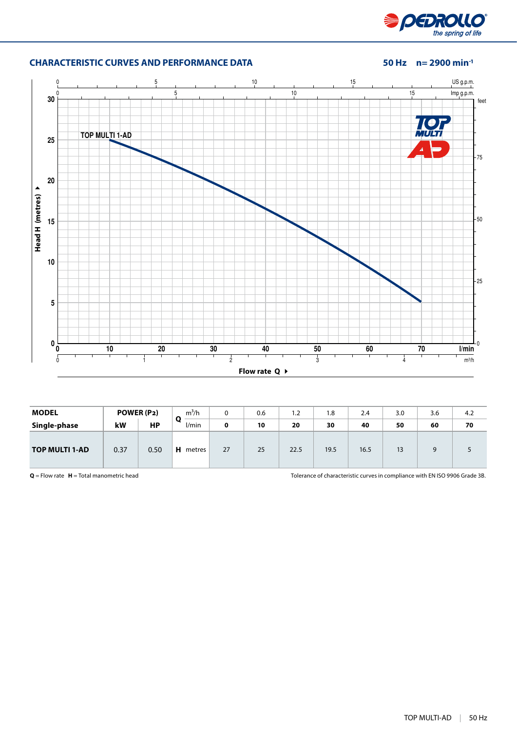

### **CHARACTERISTIC CURVES AND PERFORMANCE DATA 50 Hz n= 2900 min-1**



| <b>MODEL</b>          |      | POWER (P2) | $m^3/h$         | 0  | 0.6 | 1.2  | 1.8  | 2.4  | 3.0                  | 3.6 | 4.2 |
|-----------------------|------|------------|-----------------|----|-----|------|------|------|----------------------|-----|-----|
| Single-phase          | kW   | <b>HP</b>  | O<br>l/min      | 0  | 10  | 20   | 30   | 40   | 50                   | 60  | 70  |
| <b>TOP MULTI 1-AD</b> | 0.37 | 0.50       | <b>H</b> metres | 27 | 25  | 22.5 | 19.5 | 16.5 | 1 <sup>2</sup><br>כו | q   |     |

**Q** = Flow rate **H** = Total manometric head Tolerance of characteristic curves in compliance with EN ISO 9906 Grade 3B.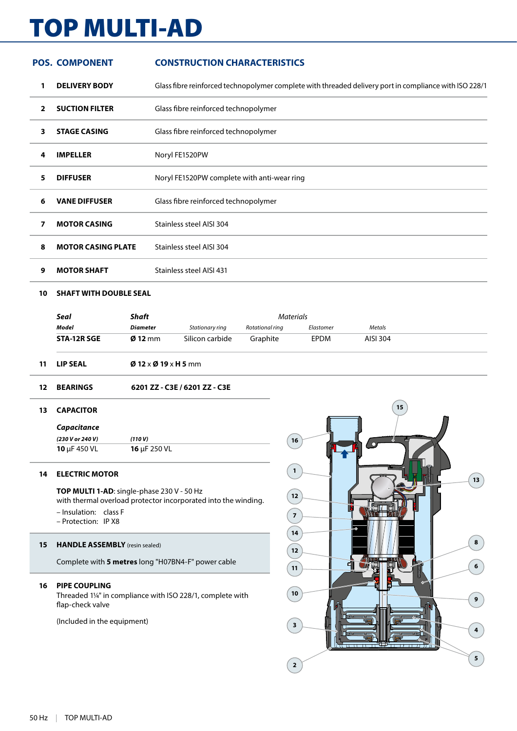# TOP MULTI-AD

|    | <b>POS. COMPONENT</b>     | <b>CONSTRUCTION CHARACTERISTICS</b>                                                                    |
|----|---------------------------|--------------------------------------------------------------------------------------------------------|
| 1  | <b>DELIVERY BODY</b>      | Glass fibre reinforced technopolymer complete with threaded delivery port in compliance with ISO 228/1 |
| 2  | <b>SUCTION FILTER</b>     | Glass fibre reinforced technopolymer                                                                   |
| 3. | <b>STAGE CASING</b>       | Glass fibre reinforced technopolymer                                                                   |
| 4  | <b>IMPELLER</b>           | Noryl FE1520PW                                                                                         |
| 5. | <b>DIFFUSER</b>           | Noryl FE1520PW complete with anti-wear ring                                                            |
| 6  | <b>VANE DIFFUSER</b>      | Glass fibre reinforced technopolymer                                                                   |
| 7  | <b>MOTOR CASING</b>       | Stainless steel AISI 304                                                                               |
| 8  | <b>MOTOR CASING PLATE</b> | Stainless steel AISI 304                                                                               |
| 9  | <b>MOTOR SHAFT</b>        | Stainless steel AISI 431                                                                               |
|    |                           |                                                                                                        |

### **SHAFT WITH DOUBLE SEAL**

| Seal        | Shaft             | <b>Materials</b> |                 |             |          |  |
|-------------|-------------------|------------------|-----------------|-------------|----------|--|
| Model       | Diameter          | Stationary ring  | Rotational ring | Elastomer   | Metals   |  |
| STA-12R SGE | $\emptyset$ 12 mm | Silicon carbide  | Graphite        | <b>EPDM</b> | AISI 304 |  |
|             |                   |                  |                 |             |          |  |

- **LIP SEAL Ø 12** x **Ø 19** x **H 5** mm
- **BEARINGS 6201 ZZ C3E / 6201 ZZ C3E**

### **CAPACITOR**

| Capacitance              |                   |  |
|--------------------------|-------------------|--|
| (230 V or 240 V)         | (110 V)           |  |
| <b>10</b> $\mu$ F 450 VL | 16 $\mu$ F 250 VL |  |

### **ELECTRIC MOTOR**

### **TOP MULTI 1-AD**: single-phase 230 V - 50 Hz

with thermal overload protector incorporated into the winding.

- Insulation: class F
- Protection: IP X8

#### **HANDLE ASSEMBLY** (resin sealed)

Complete with **5 metres** long "H07BN4-F" power cable

### **PIPE COUPLING**

Threaded 1¼" in compliance with ISO 228/1, complete with flap-check valve

(Included in the equipment)